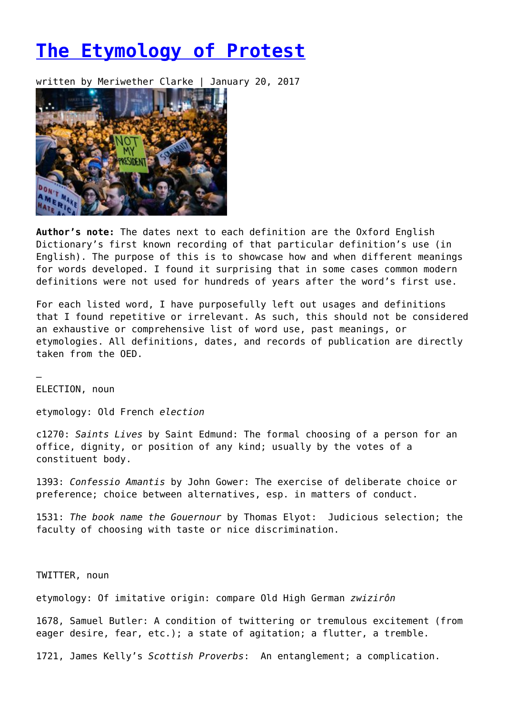## **[The Etymology of Protest](https://entropymag.org/37259-2/)**

written by Meriwether Clarke | January 20, 2017



**Author's note:** The dates next to each definition are the Oxford English Dictionary's first known recording of that particular definition's use (in English). The purpose of this is to showcase how and when different meanings for words developed. I found it surprising that in some cases common modern definitions were not used for hundreds of years after the word's first use.

For each listed word, I have purposefully left out usages and definitions that I found repetitive or irrelevant. As such, this should not be considered an exhaustive or comprehensive list of word use, past meanings, or etymologies. All definitions, dates, and records of publication are directly taken from the OED.

ELECTION, noun

–

etymology: Old French *election*

c1270: *Saints Lives* by Saint Edmund: The formal choosing of a person for an office, dignity, or position of any kind; usually by the votes of a constituent body.

1393: *Confessio Amantis* by John Gower: The exercise of deliberate choice or preference; choice between alternatives, esp. in matters of conduct.

1531: *The book name the Gouernour* by Thomas Elyot: Judicious selection; the faculty of choosing with taste or nice discrimination.

TWITTER, noun

etymology: Of imitative origin: compare Old High German *zwizirôn*

1678, Samuel Butler: A condition of twittering or tremulous excitement (from eager desire, fear, etc.); a state of agitation; a flutter, a tremble.

1721, James Kelly's *Scottish Proverbs*: An entanglement; a complication.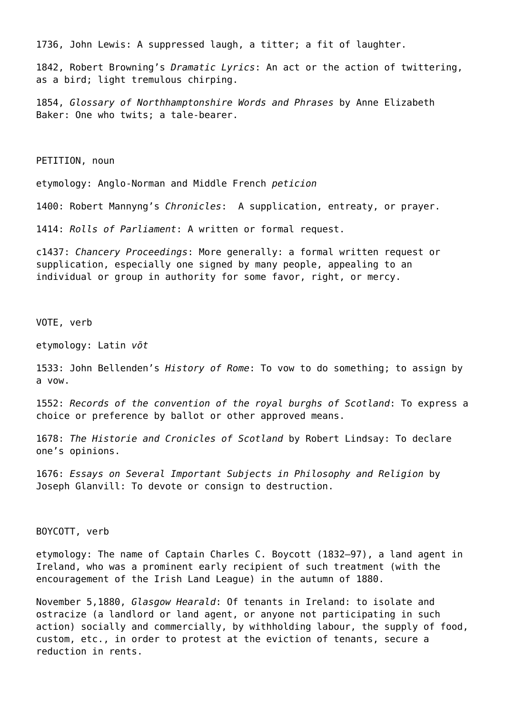1736, John Lewis: A suppressed laugh, a titter; a fit of laughter.

1842, Robert Browning's *Dramatic Lyrics*: An act or the action of twittering, as a bird; light tremulous chirping.

1854, *Glossary of Northhamptonshire Words and Phrases* by Anne Elizabeth Baker: One who twits; a tale-bearer.

PETITION, noun

etymology: Anglo-Norman and Middle French *peticion*

1400: Robert Mannyng's *Chronicles*: A supplication, entreaty, or prayer.

1414: *Rolls of Parliament*: A written or formal request.

c1437: *Chancery Proceedings*: More generally: a formal written request or supplication, especially one signed by many people, appealing to an individual or group in authority for some favor, right, or mercy.

VOTE, verb

etymology: Latin *vōt*

1533: John Bellenden's *History of Rome*: To vow to do something; to assign by a vow.

1552: *Records of the convention of the royal burghs of Scotland*: To express a choice or preference by ballot or other approved means.

1678: *The Historie and Cronicles of Scotland* by Robert Lindsay: To declare one's opinions.

1676: *Essays on Several Important Subjects in Philosophy and Religion* by Joseph Glanvill: To devote or consign to destruction.

BOYCOTT, verb

etymology: The name of Captain Charles C. Boycott (1832–97), a land agent in Ireland, who was a prominent early recipient of such treatment (with the encouragement of the Irish Land League) in the autumn of 1880.

November 5,1880, *Glasgow Hearald*: Of tenants in Ireland: to isolate and ostracize (a landlord or land agent, or anyone not participating in such action) socially and commercially, by withholding labour, the supply of food, custom, etc., in order to protest at the eviction of tenants, secure a reduction in rents.